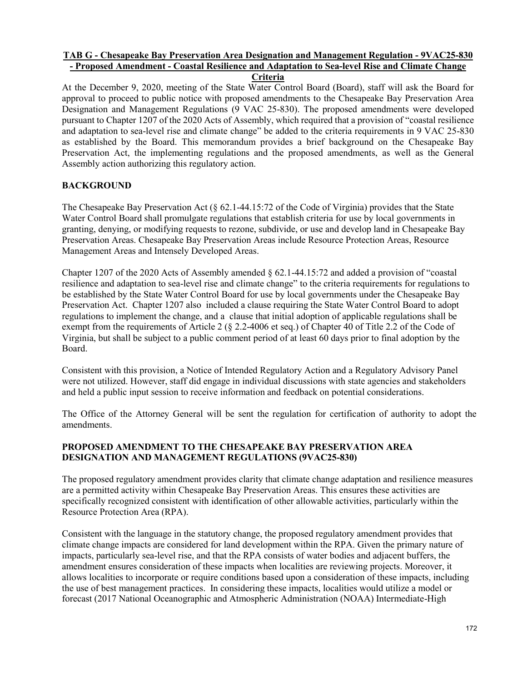#### **TAB G - Chesapeake Bay Preservation Area Designation and Management Regulation - 9VAC25-830 - Proposed Amendment - Coastal Resilience and Adaptation to Sea-level Rise and Climate Change Criteria**

At the December 9, 2020, meeting of the State Water Control Board (Board), staff will ask the Board for approval to proceed to public notice with proposed amendments to the Chesapeake Bay Preservation Area Designation and Management Regulations (9 VAC 25-830). The proposed amendments were developed pursuant to Chapter 1207 of the 2020 Acts of Assembly, which required that a provision of "coastal resilience and adaptation to sea-level rise and climate change" be added to the criteria requirements in 9 VAC 25-830 as established by the Board. This memorandum provides a brief background on the Chesapeake Bay Preservation Act, the implementing regulations and the proposed amendments, as well as the General Assembly action authorizing this regulatory action.

## **BACKGROUND**

The Chesapeake Bay Preservation Act (§ 62.1-44.15:72 of the Code of Virginia) provides that the State Water Control Board shall promulgate regulations that establish criteria for use by local governments in granting, denying, or modifying requests to rezone, subdivide, or use and develop land in Chesapeake Bay Preservation Areas. Chesapeake Bay Preservation Areas include Resource Protection Areas, Resource Management Areas and Intensely Developed Areas.

Chapter 1207 of the 2020 Acts of Assembly amended  $\S 62.1-44.15:72$  and added a provision of "coastal" resilience and adaptation to sea-level rise and climate change" to the criteria requirements for regulations to be established by the State Water Control Board for use by local governments under the Chesapeake Bay Preservation Act. Chapter 1207 also included a clause requiring the State Water Control Board to adopt regulations to implement the change, and a clause that initial adoption of applicable regulations shall be exempt from the requirements of Article 2 (§ 2.2-4006 et seq.) of Chapter 40 of Title 2.2 of the Code of Virginia, but shall be subject to a public comment period of at least 60 days prior to final adoption by the Board.

Consistent with this provision, a Notice of Intended Regulatory Action and a Regulatory Advisory Panel were not utilized. However, staff did engage in individual discussions with state agencies and stakeholders and held a public input session to receive information and feedback on potential considerations.

The Office of the Attorney General will be sent the regulation for certification of authority to adopt the amendments.

## **PROPOSED AMENDMENT TO THE CHESAPEAKE BAY PRESERVATION AREA DESIGNATION AND MANAGEMENT REGULATIONS (9VAC25-830)**

The proposed regulatory amendment provides clarity that climate change adaptation and resilience measures are a permitted activity within Chesapeake Bay Preservation Areas. This ensures these activities are specifically recognized consistent with identification of other allowable activities, particularly within the Resource Protection Area (RPA).

Consistent with the language in the statutory change, the proposed regulatory amendment provides that climate change impacts are considered for land development within the RPA. Given the primary nature of impacts, particularly sea-level rise, and that the RPA consists of water bodies and adjacent buffers, the amendment ensures consideration of these impacts when localities are reviewing projects. Moreover, it allows localities to incorporate or require conditions based upon a consideration of these impacts, including the use of best management practices. In considering these impacts, localities would utilize a model or forecast (2017 National Oceanographic and Atmospheric Administration (NOAA) Intermediate-High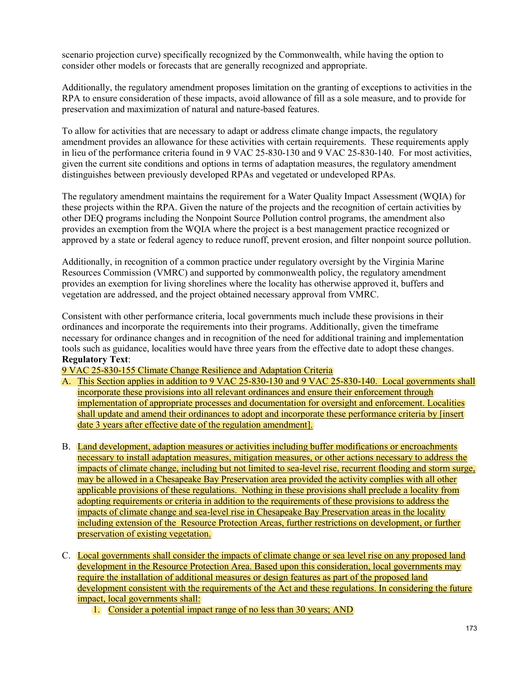scenario projection curve) specifically recognized by the Commonwealth, while having the option to consider other models or forecasts that are generally recognized and appropriate.

Additionally, the regulatory amendment proposes limitation on the granting of exceptions to activities in the RPA to ensure consideration of these impacts, avoid allowance of fill as a sole measure, and to provide for preservation and maximization of natural and nature-based features.

To allow for activities that are necessary to adapt or address climate change impacts, the regulatory amendment provides an allowance for these activities with certain requirements. These requirements apply in lieu of the performance criteria found in 9 VAC 25-830-130 and 9 VAC 25-830-140. For most activities, given the current site conditions and options in terms of adaptation measures, the regulatory amendment distinguishes between previously developed RPAs and vegetated or undeveloped RPAs.

The regulatory amendment maintains the requirement for a Water Quality Impact Assessment (WQIA) for these projects within the RPA. Given the nature of the projects and the recognition of certain activities by other DEQ programs including the Nonpoint Source Pollution control programs, the amendment also provides an exemption from the WQIA where the project is a best management practice recognized or approved by a state or federal agency to reduce runoff, prevent erosion, and filter nonpoint source pollution.

Additionally, in recognition of a common practice under regulatory oversight by the Virginia Marine Resources Commission (VMRC) and supported by commonwealth policy, the regulatory amendment provides an exemption for living shorelines where the locality has otherwise approved it, buffers and vegetation are addressed, and the project obtained necessary approval from VMRC.

Consistent with other performance criteria, local governments much include these provisions in their ordinances and incorporate the requirements into their programs. Additionally, given the timeframe necessary for ordinance changes and in recognition of the need for additional training and implementation tools such as guidance, localities would have three years from the effective date to adopt these changes. **Regulatory Text**:

9 VAC 25-830-155 Climate Change Resilience and Adaptation Criteria

- A. This Section applies in addition to 9 VAC 25-830-130 and 9 VAC 25-830-140. Local governments shall incorporate these provisions into all relevant ordinances and ensure their enforcement through implementation of appropriate processes and documentation for oversight and enforcement. Localities shall update and amend their ordinances to adopt and incorporate these performance criteria by [insert date 3 years after effective date of the regulation amendment].
- B. Land development, adaption measures or activities including buffer modifications or encroachments necessary to install adaptation measures, mitigation measures, or other actions necessary to address the impacts of climate change, including but not limited to sea-level rise, recurrent flooding and storm surge, may be allowed in a Chesapeake Bay Preservation area provided the activity complies with all other applicable provisions of these regulations. Nothing in these provisions shall preclude a locality from adopting requirements or criteria in addition to the requirements of these provisions to address the impacts of climate change and sea-level rise in Chesapeake Bay Preservation areas in the locality including extension of the Resource Protection Areas, further restrictions on development, or further preservation of existing vegetation.
- C. Local governments shall consider the impacts of climate change or sea level rise on any proposed land development in the Resource Protection Area. Based upon this consideration, local governments may require the installation of additional measures or design features as part of the proposed land development consistent with the requirements of the Act and these regulations. In considering the future impact, local governments shall:
	- 1. Consider a potential impact range of no less than 30 years; AND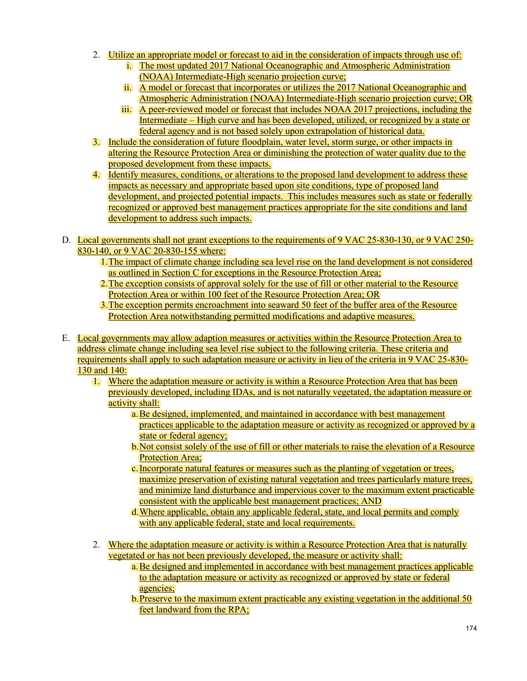- 2. Utilize an appropriate model or forecast to aid in the consideration of impacts through use of:
	- i. The most updated 2017 National Oceanographic and Atmospheric Administration (NOAA) Intermediate-High scenario projection curve;
	- ii. A model or forecast that incorporates or utilizes the 2017 National Oceanographic and Atmospheric Administration (NOAA) Intermediate-High scenario projection curve; OR
	- iii. A peer-reviewed model or forecast that includes NOAA 2017 projections, including the Intermediate – High curve and has been developed, utilized, or recognized by a state or federal agency and is not based solely upon extrapolation of historical data.
- 3. Include the consideration of future floodplain, water level, storm surge, or other impacts in altering the Resource Protection Area or diminishing the protection of water quality due to the proposed development from these impacts.
- 4. Identify measures, conditions, or alterations to the proposed land development to address these impacts as necessary and appropriate based upon site conditions, type of proposed land development, and projected potential impacts. This includes measures such as state or federally recognized or approved best management practices appropriate for the site conditions and land development to address such impacts.
- D. Local governments shall not grant exceptions to the requirements of 9 VAC 25-830-130, or 9 VAC 250- 830-140, or 9 VAC 20-830-155 where:
	- 1.The impact of climate change including sea level rise on the land development is not considered as outlined in Section C for exceptions in the Resource Protection Area;
	- 2.The exception consists of approval solely for the use of fill or other material to the Resource Protection Area or within 100 feet of the Resource Protection Area; OR
	- 3.The exception permits encroachment into seaward 50 feet of the buffer area of the Resource Protection Area notwithstanding permitted modifications and adaptive measures.
- E. Local governments may allow adaption measures or activities within the Resource Protection Area to address climate change including sea level rise subject to the following criteria. These criteria and requirements shall apply to such adaptation measure or activity in lieu of the criteria in 9 VAC 25-830- 130 and 140:
	- 1. Where the adaptation measure or activity is within a Resource Protection Area that has been previously developed, including IDAs, and is not naturally vegetated, the adaptation measure or activity shall:
		- a.Be designed, implemented, and maintained in accordance with best management practices applicable to the adaptation measure or activity as recognized or approved by a state or federal agency;
		- b.Not consist solely of the use of fill or other materials to raise the elevation of a Resource Protection Area;
		- c.Incorporate natural features or measures such as the planting of vegetation or trees, maximize preservation of existing natural vegetation and trees particularly mature trees, and minimize land disturbance and impervious cover to the maximum extent practicable consistent with the applicable best management practices; AND
		- d.Where applicable, obtain any applicable federal, state, and local permits and comply with any applicable federal, state and local requirements.
	- 2. Where the adaptation measure or activity is within a Resource Protection Area that is naturally vegetated or has not been previously developed, the measure or activity shall:
		- a.Be designed and implemented in accordance with best management practices applicable to the adaptation measure or activity as recognized or approved by state or federal agencies;
		- b.Preserve to the maximum extent practicable any existing vegetation in the additional 50 feet landward from the RPA;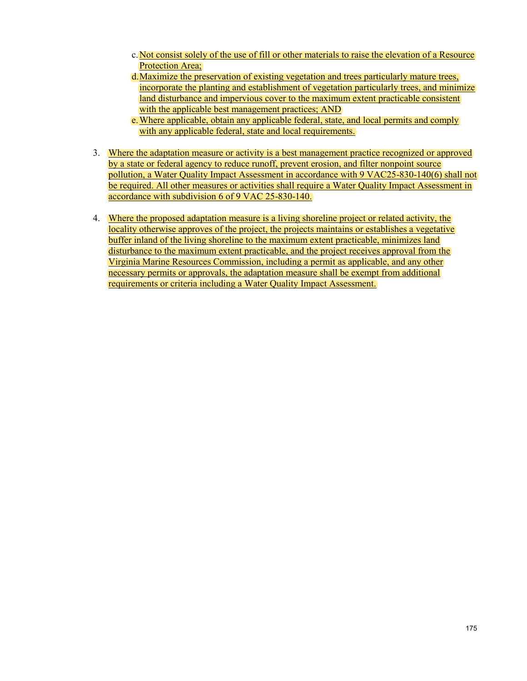- c.Not consist solely of the use of fill or other materials to raise the elevation of a Resource Protection Area;
- d.Maximize the preservation of existing vegetation and trees particularly mature trees, incorporate the planting and establishment of vegetation particularly trees, and minimize land disturbance and impervious cover to the maximum extent practicable consistent with the applicable best management practices; AND
- e.Where applicable, obtain any applicable federal, state, and local permits and comply with any applicable federal, state and local requirements.
- 3. Where the adaptation measure or activity is a best management practice recognized or approved by a state or federal agency to reduce runoff, prevent erosion, and filter nonpoint source pollution, a Water Quality Impact Assessment in accordance with 9 VAC25-830-140(6) shall not be required. All other measures or activities shall require a Water Quality Impact Assessment in accordance with subdivision 6 of 9 VAC 25-830-140.
- 4. Where the proposed adaptation measure is a living shoreline project or related activity, the locality otherwise approves of the project, the projects maintains or establishes a vegetative buffer inland of the living shoreline to the maximum extent practicable, minimizes land disturbance to the maximum extent practicable, and the project receives approval from the Virginia Marine Resources Commission, including a permit as applicable, and any other necessary permits or approvals, the adaptation measure shall be exempt from additional requirements or criteria including a Water Quality Impact Assessment.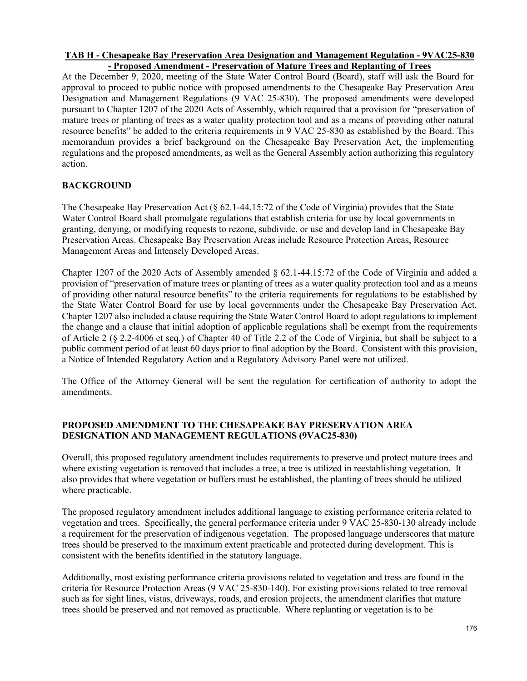### **TAB H - Chesapeake Bay Preservation Area Designation and Management Regulation - 9VAC25-830 - Proposed Amendment - Preservation of Mature Trees and Replanting of Trees**

At the December 9, 2020, meeting of the State Water Control Board (Board), staff will ask the Board for approval to proceed to public notice with proposed amendments to the Chesapeake Bay Preservation Area Designation and Management Regulations (9 VAC 25-830). The proposed amendments were developed pursuant to Chapter 1207 of the 2020 Acts of Assembly, which required that a provision for "preservation of mature trees or planting of trees as a water quality protection tool and as a means of providing other natural resource benefits" be added to the criteria requirements in 9 VAC 25-830 as established by the Board. This memorandum provides a brief background on the Chesapeake Bay Preservation Act, the implementing regulations and the proposed amendments, as well as the General Assembly action authorizing this regulatory action.

## **BACKGROUND**

The Chesapeake Bay Preservation Act (§ 62.1-44.15:72 of the Code of Virginia) provides that the State Water Control Board shall promulgate regulations that establish criteria for use by local governments in granting, denying, or modifying requests to rezone, subdivide, or use and develop land in Chesapeake Bay Preservation Areas. Chesapeake Bay Preservation Areas include Resource Protection Areas, Resource Management Areas and Intensely Developed Areas.

Chapter 1207 of the 2020 Acts of Assembly amended § 62.1-44.15:72 of the Code of Virginia and added a provision of "preservation of mature trees or planting of trees as a water quality protection tool and as a means of providing other natural resource benefits" to the criteria requirements for regulations to be established by the State Water Control Board for use by local governments under the Chesapeake Bay Preservation Act. Chapter 1207 also included a clause requiring the State Water Control Board to adopt regulations to implement the change and a clause that initial adoption of applicable regulations shall be exempt from the requirements of Article 2 (§ 2.2-4006 et seq.) of Chapter 40 of Title 2.2 of the Code of Virginia, but shall be subject to a public comment period of at least 60 days prior to final adoption by the Board. Consistent with this provision, a Notice of Intended Regulatory Action and a Regulatory Advisory Panel were not utilized.

The Office of the Attorney General will be sent the regulation for certification of authority to adopt the amendments.

# **PROPOSED AMENDMENT TO THE CHESAPEAKE BAY PRESERVATION AREA DESIGNATION AND MANAGEMENT REGULATIONS (9VAC25-830)**

Overall, this proposed regulatory amendment includes requirements to preserve and protect mature trees and where existing vegetation is removed that includes a tree, a tree is utilized in reestablishing vegetation. It also provides that where vegetation or buffers must be established, the planting of trees should be utilized where practicable.

The proposed regulatory amendment includes additional language to existing performance criteria related to vegetation and trees. Specifically, the general performance criteria under 9 VAC 25-830-130 already include a requirement for the preservation of indigenous vegetation. The proposed language underscores that mature trees should be preserved to the maximum extent practicable and protected during development. This is consistent with the benefits identified in the statutory language.

Additionally, most existing performance criteria provisions related to vegetation and tress are found in the criteria for Resource Protection Areas (9 VAC 25-830-140). For existing provisions related to tree removal such as for sight lines, vistas, driveways, roads, and erosion projects, the amendment clarifies that mature trees should be preserved and not removed as practicable. Where replanting or vegetation is to be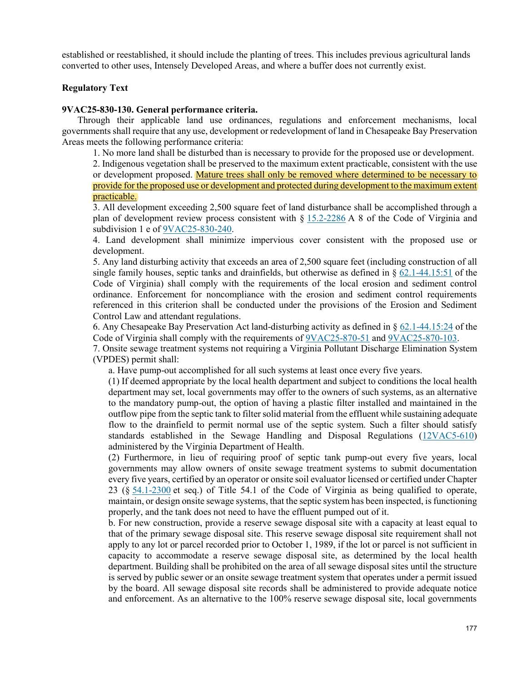established or reestablished, it should include the planting of trees. This includes previous agricultural lands converted to other uses, Intensely Developed Areas, and where a buffer does not currently exist.

### **Regulatory Text**

#### **9VAC25-830-130. General performance criteria.**

Through their applicable land use ordinances, regulations and enforcement mechanisms, local governments shall require that any use, development or redevelopment of land in Chesapeake Bay Preservation Areas meets the following performance criteria:

1. No more land shall be disturbed than is necessary to provide for the proposed use or development.

2. Indigenous vegetation shall be preserved to the maximum extent practicable, consistent with the use or development proposed. Mature trees shall only be removed where determined to be necessary to provide for the proposed use or development and protected during development to the maximum extent practicable.

3. All development exceeding 2,500 square feet of land disturbance shall be accomplished through a plan of development review process consistent with  $\S 15.2-2286$  $\S 15.2-2286$  A 8 of the Code of Virginia and subdivision 1 e of [9VAC25-830-240.](http://leg1.state.va.us/cgi-bin/legp504.exe?000+reg+9VAC25-830-240)

4. Land development shall minimize impervious cover consistent with the proposed use or development.

5. Any land disturbing activity that exceeds an area of 2,500 square feet (including construction of all single family houses, septic tanks and drainfields, but otherwise as defined in  $\S$  [62.1-44.15:51](http://law.lis.virginia.gov/vacode/62.1-44.15:51) of the Code of Virginia) shall comply with the requirements of the local erosion and sediment control ordinance. Enforcement for noncompliance with the erosion and sediment control requirements referenced in this criterion shall be conducted under the provisions of the Erosion and Sediment Control Law and attendant regulations.

6. Any Chesapeake Bay Preservation Act land-disturbing activity as defined in § [62.1-44.15:24](http://law.lis.virginia.gov/vacode/62.1-44.15:24) of the Code of Virginia shall comply with the requirements of [9VAC25-870-51](http://leg1.state.va.us/cgi-bin/legp504.exe?000+reg+9VAC25-870-51) and [9VAC25-870-103.](http://leg1.state.va.us/cgi-bin/legp504.exe?000+reg+9VAC25-870-103)

7. Onsite sewage treatment systems not requiring a Virginia Pollutant Discharge Elimination System (VPDES) permit shall:

a. Have pump-out accomplished for all such systems at least once every five years.

(1) If deemed appropriate by the local health department and subject to conditions the local health department may set, local governments may offer to the owners of such systems, as an alternative to the mandatory pump-out, the option of having a plastic filter installed and maintained in the outflow pipe from the septic tank to filter solid material from the effluent while sustaining adequate flow to the drainfield to permit normal use of the septic system. Such a filter should satisfy standards established in the Sewage Handling and Disposal Regulations [\(12VAC5-610\)](http://leg1.state.va.us/cgi-bin/legp504.exe?000+reg+12VAC5-610) administered by the Virginia Department of Health.

(2) Furthermore, in lieu of requiring proof of septic tank pump-out every five years, local governments may allow owners of onsite sewage treatment systems to submit documentation every five years, certified by an operator or onsite soil evaluator licensed or certified under Chapter 23 (§ [54.1-2300](http://law.lis.virginia.gov/vacode/54.1-2300) et seq.) of Title 54.1 of the Code of Virginia as being qualified to operate, maintain, or design onsite sewage systems, that the septic system has been inspected, is functioning properly, and the tank does not need to have the effluent pumped out of it.

b. For new construction, provide a reserve sewage disposal site with a capacity at least equal to that of the primary sewage disposal site. This reserve sewage disposal site requirement shall not apply to any lot or parcel recorded prior to October 1, 1989, if the lot or parcel is not sufficient in capacity to accommodate a reserve sewage disposal site, as determined by the local health department. Building shall be prohibited on the area of all sewage disposal sites until the structure is served by public sewer or an onsite sewage treatment system that operates under a permit issued by the board. All sewage disposal site records shall be administered to provide adequate notice and enforcement. As an alternative to the 100% reserve sewage disposal site, local governments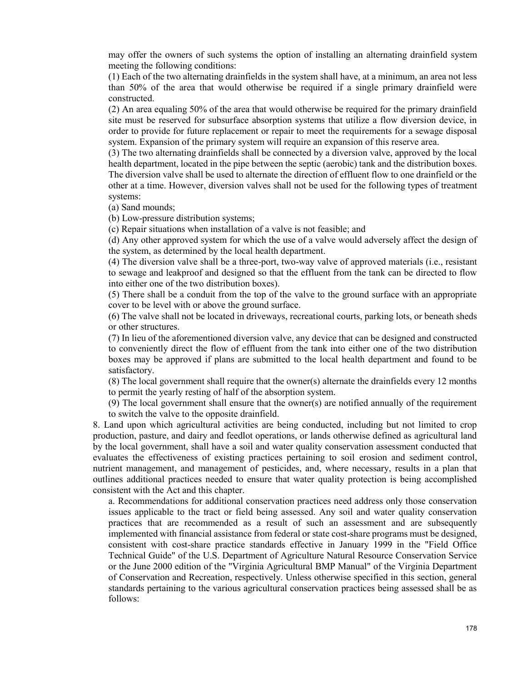may offer the owners of such systems the option of installing an alternating drainfield system meeting the following conditions:

(1) Each of the two alternating drainfields in the system shall have, at a minimum, an area not less than 50% of the area that would otherwise be required if a single primary drainfield were constructed.

(2) An area equaling 50% of the area that would otherwise be required for the primary drainfield site must be reserved for subsurface absorption systems that utilize a flow diversion device, in order to provide for future replacement or repair to meet the requirements for a sewage disposal system. Expansion of the primary system will require an expansion of this reserve area.

(3) The two alternating drainfields shall be connected by a diversion valve, approved by the local health department, located in the pipe between the septic (aerobic) tank and the distribution boxes. The diversion valve shall be used to alternate the direction of effluent flow to one drainfield or the other at a time. However, diversion valves shall not be used for the following types of treatment systems:

(a) Sand mounds;

(b) Low-pressure distribution systems;

(c) Repair situations when installation of a valve is not feasible; and

(d) Any other approved system for which the use of a valve would adversely affect the design of the system, as determined by the local health department.

(4) The diversion valve shall be a three-port, two-way valve of approved materials (i.e., resistant to sewage and leakproof and designed so that the effluent from the tank can be directed to flow into either one of the two distribution boxes).

(5) There shall be a conduit from the top of the valve to the ground surface with an appropriate cover to be level with or above the ground surface.

(6) The valve shall not be located in driveways, recreational courts, parking lots, or beneath sheds or other structures.

(7) In lieu of the aforementioned diversion valve, any device that can be designed and constructed to conveniently direct the flow of effluent from the tank into either one of the two distribution boxes may be approved if plans are submitted to the local health department and found to be satisfactory.

(8) The local government shall require that the owner(s) alternate the drainfields every 12 months to permit the yearly resting of half of the absorption system.

(9) The local government shall ensure that the owner(s) are notified annually of the requirement to switch the valve to the opposite drainfield.

8. Land upon which agricultural activities are being conducted, including but not limited to crop production, pasture, and dairy and feedlot operations, or lands otherwise defined as agricultural land by the local government, shall have a soil and water quality conservation assessment conducted that evaluates the effectiveness of existing practices pertaining to soil erosion and sediment control, nutrient management, and management of pesticides, and, where necessary, results in a plan that outlines additional practices needed to ensure that water quality protection is being accomplished consistent with the Act and this chapter.

a. Recommendations for additional conservation practices need address only those conservation issues applicable to the tract or field being assessed. Any soil and water quality conservation practices that are recommended as a result of such an assessment and are subsequently implemented with financial assistance from federal or state cost-share programs must be designed, consistent with cost-share practice standards effective in January 1999 in the "Field Office Technical Guide" of the U.S. Department of Agriculture Natural Resource Conservation Service or the June 2000 edition of the "Virginia Agricultural BMP Manual" of the Virginia Department of Conservation and Recreation, respectively. Unless otherwise specified in this section, general standards pertaining to the various agricultural conservation practices being assessed shall be as follows: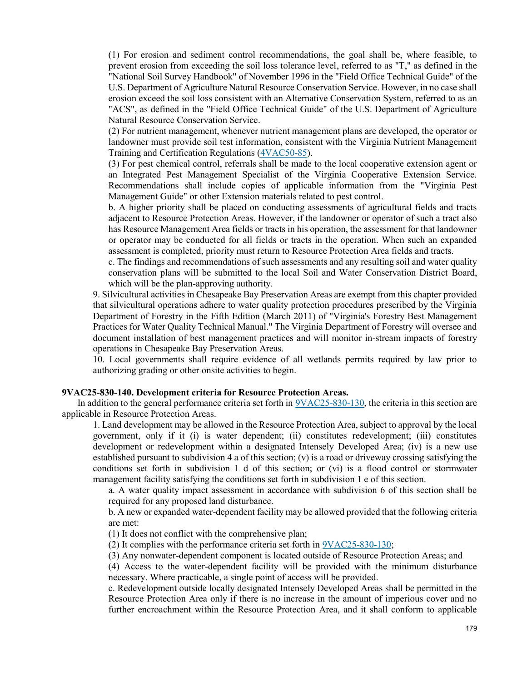(1) For erosion and sediment control recommendations, the goal shall be, where feasible, to prevent erosion from exceeding the soil loss tolerance level, referred to as "T," as defined in the "National Soil Survey Handbook" of November 1996 in the "Field Office Technical Guide" of the U.S. Department of Agriculture Natural Resource Conservation Service. However, in no case shall erosion exceed the soil loss consistent with an Alternative Conservation System, referred to as an "ACS", as defined in the "Field Office Technical Guide" of the U.S. Department of Agriculture Natural Resource Conservation Service.

(2) For nutrient management, whenever nutrient management plans are developed, the operator or landowner must provide soil test information, consistent with the Virginia Nutrient Management Training and Certification Regulations [\(4VAC50-85\)](http://leg1.state.va.us/cgi-bin/legp504.exe?000+reg+4VAC50-85).

(3) For pest chemical control, referrals shall be made to the local cooperative extension agent or an Integrated Pest Management Specialist of the Virginia Cooperative Extension Service. Recommendations shall include copies of applicable information from the "Virginia Pest Management Guide" or other Extension materials related to pest control.

b. A higher priority shall be placed on conducting assessments of agricultural fields and tracts adjacent to Resource Protection Areas. However, if the landowner or operator of such a tract also has Resource Management Area fields or tracts in his operation, the assessment for that landowner or operator may be conducted for all fields or tracts in the operation. When such an expanded assessment is completed, priority must return to Resource Protection Area fields and tracts.

c. The findings and recommendations of such assessments and any resulting soil and water quality conservation plans will be submitted to the local Soil and Water Conservation District Board, which will be the plan-approving authority.

9. Silvicultural activities in Chesapeake Bay Preservation Areas are exempt from this chapter provided that silvicultural operations adhere to water quality protection procedures prescribed by the Virginia Department of Forestry in the Fifth Edition (March 2011) of "Virginia's Forestry Best Management Practices for Water Quality Technical Manual." The Virginia Department of Forestry will oversee and document installation of best management practices and will monitor in-stream impacts of forestry operations in Chesapeake Bay Preservation Areas.

10. Local governments shall require evidence of all wetlands permits required by law prior to authorizing grading or other onsite activities to begin.

#### **9VAC25-830-140. Development criteria for Resource Protection Areas.**

In addition to the general performance criteria set forth in [9VAC25-830-130,](http://leg1.state.va.us/cgi-bin/legp504.exe?000+reg+9VAC25-830-130) the criteria in this section are applicable in Resource Protection Areas.

1. Land development may be allowed in the Resource Protection Area, subject to approval by the local government, only if it (i) is water dependent; (ii) constitutes redevelopment; (iii) constitutes development or redevelopment within a designated Intensely Developed Area; (iv) is a new use established pursuant to subdivision 4 a of this section; (v) is a road or driveway crossing satisfying the conditions set forth in subdivision 1 d of this section; or (vi) is a flood control or stormwater management facility satisfying the conditions set forth in subdivision 1 e of this section.

a. A water quality impact assessment in accordance with subdivision 6 of this section shall be required for any proposed land disturbance.

b. A new or expanded water-dependent facility may be allowed provided that the following criteria are met:

(1) It does not conflict with the comprehensive plan;

(2) It complies with the performance criteria set forth in  $9VAC25-830-130$ ;

(3) Any nonwater-dependent component is located outside of Resource Protection Areas; and

(4) Access to the water-dependent facility will be provided with the minimum disturbance necessary. Where practicable, a single point of access will be provided.

c. Redevelopment outside locally designated Intensely Developed Areas shall be permitted in the Resource Protection Area only if there is no increase in the amount of imperious cover and no further encroachment within the Resource Protection Area, and it shall conform to applicable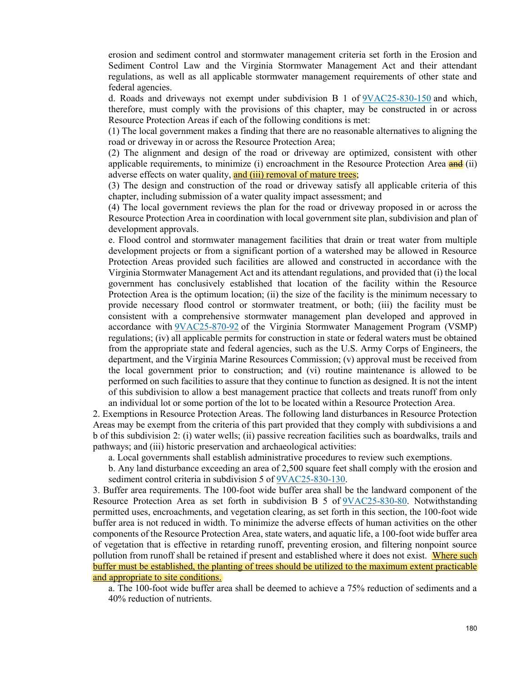erosion and sediment control and stormwater management criteria set forth in the Erosion and Sediment Control Law and the Virginia Stormwater Management Act and their attendant regulations, as well as all applicable stormwater management requirements of other state and federal agencies.

d. Roads and driveways not exempt under subdivision B 1 of [9VAC25-830-150](http://leg1.state.va.us/cgi-bin/legp504.exe?000+reg+9VAC25-830-150) and which, therefore, must comply with the provisions of this chapter, may be constructed in or across Resource Protection Areas if each of the following conditions is met:

(1) The local government makes a finding that there are no reasonable alternatives to aligning the road or driveway in or across the Resource Protection Area;

(2) The alignment and design of the road or driveway are optimized, consistent with other applicable requirements, to minimize (i) encroachment in the Resource Protection Area  $\frac{d}{dt}$  (ii) adverse effects on water quality, and (iii) removal of mature trees;

(3) The design and construction of the road or driveway satisfy all applicable criteria of this chapter, including submission of a water quality impact assessment; and

(4) The local government reviews the plan for the road or driveway proposed in or across the Resource Protection Area in coordination with local government site plan, subdivision and plan of development approvals.

e. Flood control and stormwater management facilities that drain or treat water from multiple development projects or from a significant portion of a watershed may be allowed in Resource Protection Areas provided such facilities are allowed and constructed in accordance with the Virginia Stormwater Management Act and its attendant regulations, and provided that (i) the local government has conclusively established that location of the facility within the Resource Protection Area is the optimum location; (ii) the size of the facility is the minimum necessary to provide necessary flood control or stormwater treatment, or both; (iii) the facility must be consistent with a comprehensive stormwater management plan developed and approved in accordance with [9VAC25-870-92](http://leg1.state.va.us/cgi-bin/legp504.exe?000+reg+9VAC25-870-92) of the Virginia Stormwater Management Program (VSMP) regulations; (iv) all applicable permits for construction in state or federal waters must be obtained from the appropriate state and federal agencies, such as the U.S. Army Corps of Engineers, the department, and the Virginia Marine Resources Commission; (v) approval must be received from the local government prior to construction; and (vi) routine maintenance is allowed to be performed on such facilities to assure that they continue to function as designed. It is not the intent of this subdivision to allow a best management practice that collects and treats runoff from only an individual lot or some portion of the lot to be located within a Resource Protection Area.

2. Exemptions in Resource Protection Areas. The following land disturbances in Resource Protection Areas may be exempt from the criteria of this part provided that they comply with subdivisions a and b of this subdivision 2: (i) water wells; (ii) passive recreation facilities such as boardwalks, trails and pathways; and (iii) historic preservation and archaeological activities:

a. Local governments shall establish administrative procedures to review such exemptions.

b. Any land disturbance exceeding an area of 2,500 square feet shall comply with the erosion and sediment control criteria in subdivision 5 of [9VAC25-830-130.](http://leg1.state.va.us/cgi-bin/legp504.exe?000+reg+9VAC25-830-130)

3. Buffer area requirements. The 100-foot wide buffer area shall be the landward component of the Resource Protection Area as set forth in subdivision B 5 of [9VAC25-830-80.](http://leg1.state.va.us/cgi-bin/legp504.exe?000+reg+9VAC25-830-80) Notwithstanding permitted uses, encroachments, and vegetation clearing, as set forth in this section, the 100-foot wide buffer area is not reduced in width. To minimize the adverse effects of human activities on the other components of the Resource Protection Area, state waters, and aquatic life, a 100-foot wide buffer area of vegetation that is effective in retarding runoff, preventing erosion, and filtering nonpoint source pollution from runoff shall be retained if present and established where it does not exist. Where such buffer must be established, the planting of trees should be utilized to the maximum extent practicable and appropriate to site conditions.

a. The 100-foot wide buffer area shall be deemed to achieve a 75% reduction of sediments and a 40% reduction of nutrients.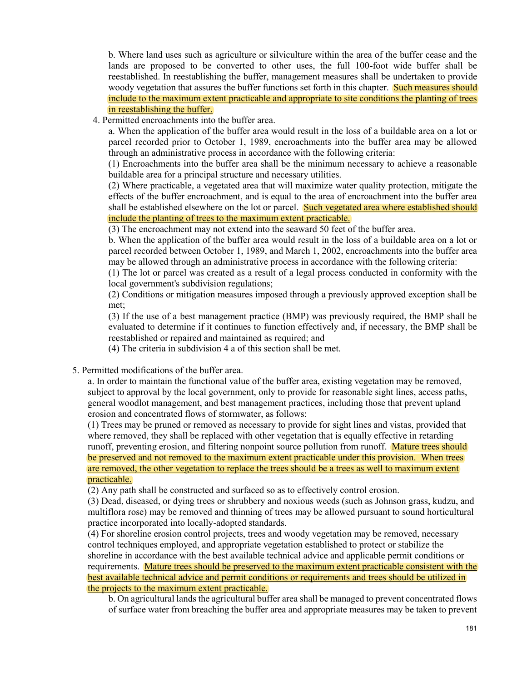b. Where land uses such as agriculture or silviculture within the area of the buffer cease and the lands are proposed to be converted to other uses, the full 100-foot wide buffer shall be reestablished. In reestablishing the buffer, management measures shall be undertaken to provide woody vegetation that assures the buffer functions set forth in this chapter. Such measures should include to the maximum extent practicable and appropriate to site conditions the planting of trees in reestablishing the buffer.

4. Permitted encroachments into the buffer area.

a. When the application of the buffer area would result in the loss of a buildable area on a lot or parcel recorded prior to October 1, 1989, encroachments into the buffer area may be allowed through an administrative process in accordance with the following criteria:

(1) Encroachments into the buffer area shall be the minimum necessary to achieve a reasonable buildable area for a principal structure and necessary utilities.

(2) Where practicable, a vegetated area that will maximize water quality protection, mitigate the effects of the buffer encroachment, and is equal to the area of encroachment into the buffer area shall be established elsewhere on the lot or parcel. Such vegetated area where established should include the planting of trees to the maximum extent practicable.

(3) The encroachment may not extend into the seaward 50 feet of the buffer area.

b. When the application of the buffer area would result in the loss of a buildable area on a lot or parcel recorded between October 1, 1989, and March 1, 2002, encroachments into the buffer area may be allowed through an administrative process in accordance with the following criteria:

(1) The lot or parcel was created as a result of a legal process conducted in conformity with the local government's subdivision regulations;

(2) Conditions or mitigation measures imposed through a previously approved exception shall be met;

(3) If the use of a best management practice (BMP) was previously required, the BMP shall be evaluated to determine if it continues to function effectively and, if necessary, the BMP shall be reestablished or repaired and maintained as required; and

(4) The criteria in subdivision 4 a of this section shall be met.

5. Permitted modifications of the buffer area.

a. In order to maintain the functional value of the buffer area, existing vegetation may be removed, subject to approval by the local government, only to provide for reasonable sight lines, access paths, general woodlot management, and best management practices, including those that prevent upland erosion and concentrated flows of stormwater, as follows:

(1) Trees may be pruned or removed as necessary to provide for sight lines and vistas, provided that where removed, they shall be replaced with other vegetation that is equally effective in retarding runoff, preventing erosion, and filtering nonpoint source pollution from runoff. Mature trees should be preserved and not removed to the maximum extent practicable under this provision. When trees are removed, the other vegetation to replace the trees should be a trees as well to maximum extent practicable.

(2) Any path shall be constructed and surfaced so as to effectively control erosion.

(3) Dead, diseased, or dying trees or shrubbery and noxious weeds (such as Johnson grass, kudzu, and multiflora rose) may be removed and thinning of trees may be allowed pursuant to sound horticultural practice incorporated into locally-adopted standards.

(4) For shoreline erosion control projects, trees and woody vegetation may be removed, necessary control techniques employed, and appropriate vegetation established to protect or stabilize the shoreline in accordance with the best available technical advice and applicable permit conditions or requirements. Mature trees should be preserved to the maximum extent practicable consistent with the best available technical advice and permit conditions or requirements and trees should be utilized in the projects to the maximum extent practicable.

b. On agricultural lands the agricultural buffer area shall be managed to prevent concentrated flows of surface water from breaching the buffer area and appropriate measures may be taken to prevent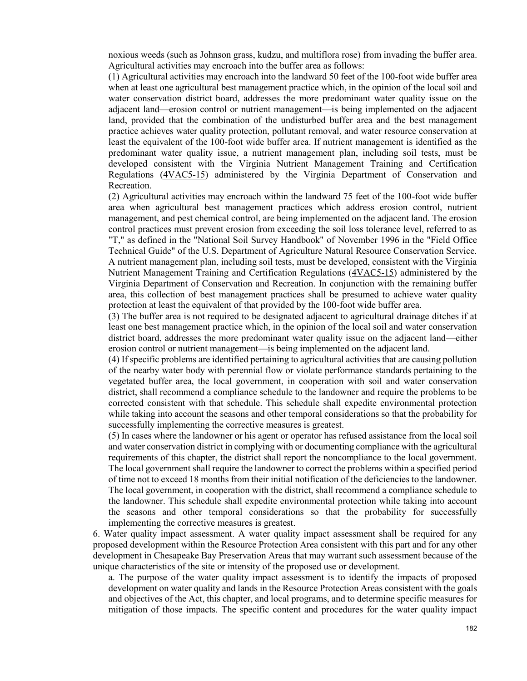noxious weeds (such as Johnson grass, kudzu, and multiflora rose) from invading the buffer area. Agricultural activities may encroach into the buffer area as follows:

(1) Agricultural activities may encroach into the landward 50 feet of the 100-foot wide buffer area when at least one agricultural best management practice which, in the opinion of the local soil and water conservation district board, addresses the more predominant water quality issue on the adjacent land—erosion control or nutrient management—is being implemented on the adjacent land, provided that the combination of the undisturbed buffer area and the best management practice achieves water quality protection, pollutant removal, and water resource conservation at least the equivalent of the 100-foot wide buffer area. If nutrient management is identified as the predominant water quality issue, a nutrient management plan, including soil tests, must be developed consistent with the Virginia Nutrient Management Training and Certification Regulations [\(4VAC5-15\)](http://leg1.state.va.us/cgi-bin/legp504.exe?000+reg+4VAC5-15) administered by the Virginia Department of Conservation and Recreation.

(2) Agricultural activities may encroach within the landward 75 feet of the 100-foot wide buffer area when agricultural best management practices which address erosion control, nutrient management, and pest chemical control, are being implemented on the adjacent land. The erosion control practices must prevent erosion from exceeding the soil loss tolerance level, referred to as "T," as defined in the "National Soil Survey Handbook" of November 1996 in the "Field Office Technical Guide" of the U.S. Department of Agriculture Natural Resource Conservation Service. A nutrient management plan, including soil tests, must be developed, consistent with the Virginia Nutrient Management Training and Certification Regulations [\(4VAC5-15\)](http://leg1.state.va.us/cgi-bin/legp504.exe?000+reg+4VAC5-15) administered by the Virginia Department of Conservation and Recreation. In conjunction with the remaining buffer area, this collection of best management practices shall be presumed to achieve water quality protection at least the equivalent of that provided by the 100-foot wide buffer area.

(3) The buffer area is not required to be designated adjacent to agricultural drainage ditches if at least one best management practice which, in the opinion of the local soil and water conservation district board, addresses the more predominant water quality issue on the adjacent land—either erosion control or nutrient management—is being implemented on the adjacent land.

(4) If specific problems are identified pertaining to agricultural activities that are causing pollution of the nearby water body with perennial flow or violate performance standards pertaining to the vegetated buffer area, the local government, in cooperation with soil and water conservation district, shall recommend a compliance schedule to the landowner and require the problems to be corrected consistent with that schedule. This schedule shall expedite environmental protection while taking into account the seasons and other temporal considerations so that the probability for successfully implementing the corrective measures is greatest.

(5) In cases where the landowner or his agent or operator has refused assistance from the local soil and water conservation district in complying with or documenting compliance with the agricultural requirements of this chapter, the district shall report the noncompliance to the local government. The local government shall require the landowner to correct the problems within a specified period of time not to exceed 18 months from their initial notification of the deficiencies to the landowner. The local government, in cooperation with the district, shall recommend a compliance schedule to the landowner. This schedule shall expedite environmental protection while taking into account the seasons and other temporal considerations so that the probability for successfully implementing the corrective measures is greatest.

6. Water quality impact assessment. A water quality impact assessment shall be required for any proposed development within the Resource Protection Area consistent with this part and for any other development in Chesapeake Bay Preservation Areas that may warrant such assessment because of the unique characteristics of the site or intensity of the proposed use or development.

a. The purpose of the water quality impact assessment is to identify the impacts of proposed development on water quality and lands in the Resource Protection Areas consistent with the goals and objectives of the Act, this chapter, and local programs, and to determine specific measures for mitigation of those impacts. The specific content and procedures for the water quality impact